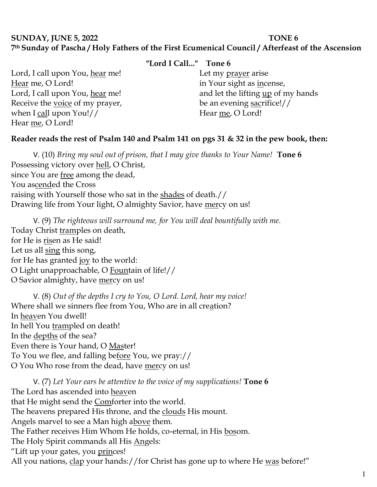# **SUNDAY, JUNE 5, 2022 TONE 6 7th Sunday of Pascha / Holy Fathers of the First Ecumenical Council / Afterfeast of the Ascension**

## **"Lord I Call..." Tone 6**

Lord, I call upon You, hear me! Hear me, O Lord! Lord, I call upon You, hear me! Receive the voice of my prayer, when I call upon You!// Hear me, O Lord!

## Let my <u>prayer</u> arise in Your sight as incense, and let the lifting up of my hands be an evening sacrifice!// Hear me, O Lord!

## **Reader reads the rest of Psalm 140 and Psalm 141 on pgs 31 & 32 in the pew book, then:**

V. (10) *Bring my soul out of prison, that I may give thanks to Your Name!* **Tone 6** Possessing victory over hell, O Christ, since You are free among the dead, You ascended the Cross raising with Yourself those who sat in the shades of death.// Drawing life from Your light, O almighty Savior, have mercy on us!

V. (9) *The righteous will surround me, for You will deal bountifully with me.*  Today Christ tramples on death, for He is risen as He said! Let us all sing this song, for He has granted joy to the world: O Light unapproachable, O Fountain of life!// O Savior almighty, have mercy on us!

V. (8) *Out of the depths I cry to You, O Lord. Lord, hear my voice!*  Where shall we sinners flee from You, Who are in all creation? In heaven You dwell! In hell You trampled on death! In the depths of the sea? Even there is Your hand, O Master! To You we flee, and falling before You, we pray:// O You Who rose from the dead, have mercy on us!

V. (7) *Let Your ears be attentive to the voice of my supplications!* **Tone 6** The Lord has ascended into heaven that He might send the **Comforter into the world**. The heavens prepared His throne, and the clouds His mount. Angels marvel to see a Man high above them. The Father receives Him Whom He holds, co-eternal, in His bosom. The Holy Spirit commands all His Angels: "Lift up your gates, you princes! All you nations, clap your hands://for Christ has gone up to where He was before!"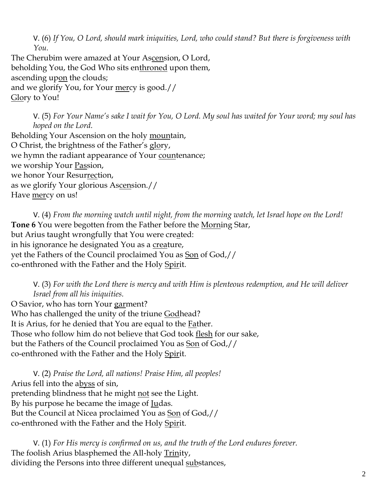V. (6) *If You, O Lord, should mark iniquities, Lord, who could stand? But there is forgiveness with You.* 

The Cherubim were amazed at Your Ascension, O Lord, beholding You, the God Who sits enthroned upon them, ascending upon the clouds; and we glorify You, for Your mercy is good.// Glory to You!

V. (5) *For Your Name's sake I wait for You, O Lord. My soul has waited for Your word; my soul has hoped on the Lord.* 

Beholding Your Ascension on the holy mountain, O Christ, the brightness of the Father's glory, we hymn the radiant appearance of Your countenance; we worship Your Passion, we honor Your Resurrection, as we glorify Your glorious Ascension.// Have mercy on us!

V. (4) *From the morning watch until night, from the morning watch, let Israel hope on the Lord!*  **Tone 6** You were begotten from the Father before the Morning Star, but Arius taught wrongfully that You were created: in his ignorance he designated You as a creature, yet the Fathers of the Council proclaimed You as Son of God,// co-enthroned with the Father and the Holy Spirit.

V. (3) *For with the Lord there is mercy and with Him is plenteous redemption, and He will deliver Israel from all his iniquities.*

O Savior, who has torn Your garment? Who has challenged the unity of the triune Godhead? It is Arius, for he denied that You are equal to the **Father**. Those who follow him do not believe that God took flesh for our sake, but the Fathers of the Council proclaimed You as Son of God,// co-enthroned with the Father and the Holy Spirit.

V. (2) *Praise the Lord, all nations! Praise Him, all peoples!* Arius fell into the abyss of sin, pretending blindness that he might not see the Light. By his purpose he became the image of Judas. But the Council at Nicea proclaimed You as Son of God,// co-enthroned with the Father and the Holy Spirit.

V. (1) *For His mercy is confirmed on us, and the truth of the Lord endures forever.*  The foolish Arius blasphemed the All-holy Trinity, dividing the Persons into three different unequal substances,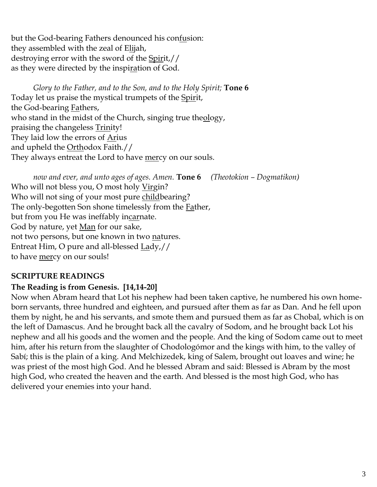but the God-bearing Fathers denounced his confusion: they assembled with the zeal of Elijah, destroying error with the sword of the Spirit,// as they were directed by the inspiration of God.

*Glory to the Father, and to the Son, and to the Holy Spirit;* **Tone 6** Today let us praise the mystical trumpets of the Spirit, the God-bearing Fathers, who stand in the midst of the Church, singing true theology, praising the changeless **Trinity!** They laid low the errors of <u>Ar</u>ius and upheld the <u>Orth</u>odox Faith.// They always entreat the Lord to have mercy on our souls.

*now and ever, and unto ages of ages. Amen.* **Tone 6** *(Theotokion – Dogmatikon)* Who will not bless you, O most holy Virgin? Who will not sing of your most pure childbearing? The only-begotten Son shone timelessly from the **Father**, but from you He was ineffably incarnate. God by nature, yet Man for our sake, not two persons, but one known in two natures. Entreat Him, O pure and all-blessed Lady,// to have mercy on our souls!

# **SCRIPTURE READINGS**

#### **The Reading is from Genesis. [14,14-20]**

Now when Abram heard that Lot his nephew had been taken captive, he numbered his own homeborn servants, three hundred and eighteen, and pursued after them as far as Dan. And he fell upon them by night, he and his servants, and smote them and pursued them as far as Chobal, which is on the left of Damascus. And he brought back all the cavalry of Sodom, and he brought back Lot his nephew and all his goods and the women and the people. And the king of Sodom came out to meet him, after his return from the slaughter of Chodologómor and the kings with him, to the valley of Sabí; this is the plain of a king. And Melchizedek, king of Salem, brought out loaves and wine; he was priest of the most high God. And he blessed Abram and said: Blessed is Abram by the most high God, who created the heaven and the earth. And blessed is the most high God, who has delivered your enemies into your hand.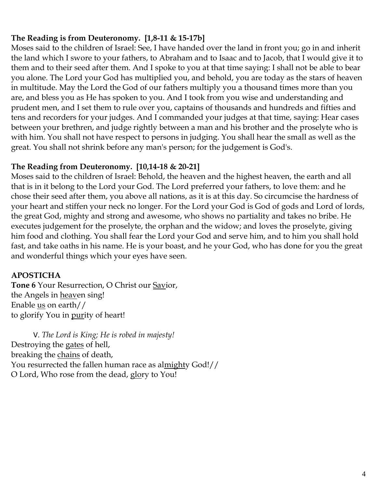## **The Reading is from Deuteronomy. [1,8-11 & 15-17b]**

Moses said to the children of Israel: See, I have handed over the land in front you; go in and inherit the land which I swore to your fathers, to Abraham and to Isaac and to Jacob, that I would give it to them and to their seed after them. And I spoke to you at that time saying: I shall not be able to bear you alone. The Lord your God has multiplied you, and behold, you are today as the stars of heaven in multitude. May the Lord the God of our fathers multiply you a thousand times more than you are, and bless you as He has spoken to you. And I took from you wise and understanding and prudent men, and I set them to rule over you, captains of thousands and hundreds and fifties and tens and recorders for your judges. And I commanded your judges at that time, saying: Hear cases between your brethren, and judge rightly between a man and his brother and the proselyte who is with him. You shall not have respect to persons in judging. You shall hear the small as well as the great. You shall not shrink before any man's person; for the judgement is God's.

#### **The Reading from Deuteronomy. [10,14-18 & 20-21]**

Moses said to the children of Israel: Behold, the heaven and the highest heaven, the earth and all that is in it belong to the Lord your God. The Lord preferred your fathers, to love them: and he chose their seed after them, you above all nations, as it is at this day. So circumcise the hardness of your heart and stiffen your neck no longer. For the Lord your God is God of gods and Lord of lords, the great God, mighty and strong and awesome, who shows no partiality and takes no bribe. He executes judgement for the proselyte, the orphan and the widow; and loves the proselyte, giving him food and clothing. You shall fear the Lord your God and serve him, and to him you shall hold fast, and take oaths in his name. He is your boast, and he your God, who has done for you the great and wonderful things which your eyes have seen.

#### **APOSTICHA**

**Tone 6** Your Resurrection, O Christ our Savior, the Angels in heaven sing! Enable us on earth// to glorify You in <u>pur</u>ity of heart!

V. *The Lord is King; He is robed in majesty!*  Destroying the gates of hell, breaking the chains of death, You resurrected the fallen human race as almighty God!// O Lord, Who rose from the dead, glory to You!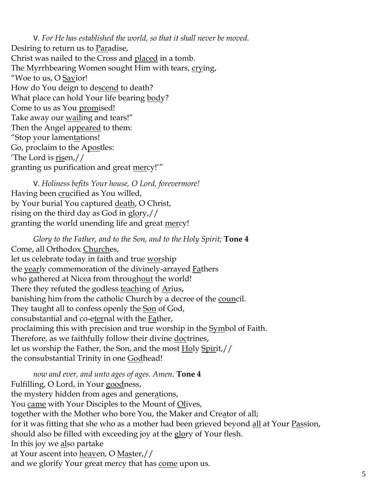V. *For He has established the world, so that it shall never be moved.* Desiring to return us to Paradise, Christ was nailed to the Cross and placed in a tomb. The Myrrhbearing Women sought Him with tears, crying, "Woe to us, O Savior! How do You deign to descend to death? What place can hold Your life bearing body? Come to us as You promised! Take away our <u>wail</u>ing and tears!" Then the Angel appeared to them: "Stop your lamentations! Go, proclaim to the Apostles: 'The Lord is risen,// granting us purification and great mercy!'"

V. *Holiness befits Your house, O Lord, forevermore!*  Having been **crucified** as You willed, by Your burial You captured death, O Christ, rising on the third day as God in glory,// granting the world unending life and great mercy!

*Glory to the Father, and to the Son, and to the Holy Spirit;* **Tone 4** Come, all Orthodox Churches, let us celebrate today in faith and true worship the <u>year</u>ly commemoration of the divinely-arrayed **F**athers who gathered at Nicea from throughout the world! There they refuted the godless <u>teaching</u> of **Arius**, banishing him from the catholic Church by a decree of the council. They taught all to confess openly the Son of God, consubstantial and co-eternal with the **Father**, proclaiming this with precision and true worship in the **Symbol** of Faith. Therefore, as we faithfully follow their divine doctrines, let us worship the Father, the Son, and the most Holy Spirit,// the consubstantial Trinity in one Godhead!

*now and ever, and unto ages of ages. Amen.* **Tone 4** Fulfilling, O Lord, in Your goodness, the mystery hidden from ages and generations, You came with Your Disciples to the Mount of Olives, together with the Mother who bore You, the Maker and Creator of all; for it was fitting that she who as a mother had been grieved beyond all at Your Passion, should also be filled with exceeding joy at the glory of Your flesh. In this joy we also partake at Your ascent into heaven, O Master,// and we glorify Your great mercy that has come upon us.